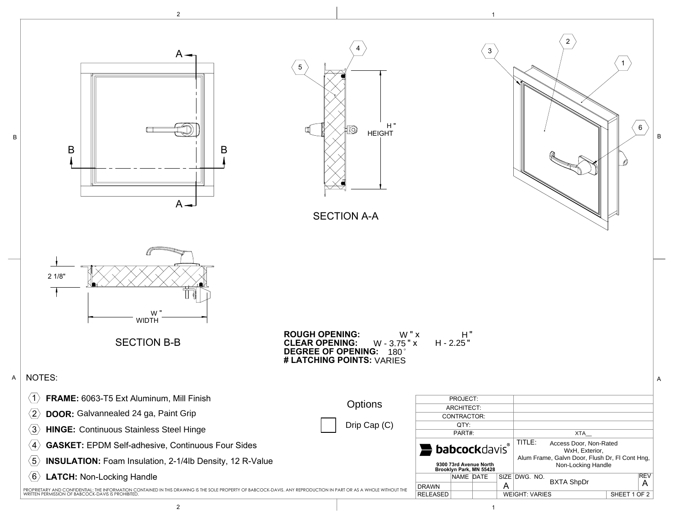